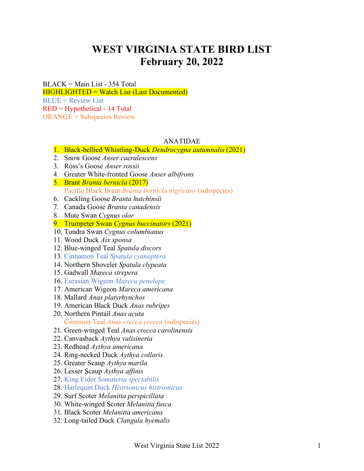# **WEST VIRGINIA STATE BIRD LIST February 20, 2022**

BLACK = Main List - 354 Total HIGHLIGHTED = Watch List (Last Documented)  $BLI/E = Review List$ RED = Hypothetical - 14 Total ORANGE = Subspecies Review

# ANATIDAE

- 1. Black-bellied Whistling-Duck *Dendrocygna autumnalis* (2021)
- 2. Snow Goose *Anser caerulescens*
- 3. Ross's Goose *Anser rossii*
- 4. Greater White-fronted Goose *Anser albifrons*
- 5. Brant *Branta bernicla* (2017) Pacific Black Brant *Branta bernicla nigricans* (subspecies)
- 6. Cackling Goose *Branta hutchinsii*
- 7. Canada Goose *Branta canadensis*
- 8. Mute Swan *Cygnus olor*
- 9. Trumpeter Swan *Cygnus buccinators* (2021)
- 10. Tundra Swan *Cygnus columbianus*
- 11. Wood Duck *Aix sponsa*
- 12. Blue-winged Teal *Spatula discors*
- 13. Cinnamon Teal *Spatula cyanoptera*
- 14. Northern Shoveler *Spatula clypeata*
- 15. Gadwall *Mareca strepera*
- 16. Eurasian Wigeon *Mareca penelope*
- 17. American Wigeon *Mareca americana*
- 18. Mallard *Anas platyrhynchos*
- 19. American Black Duck *Anas rubripes*
- 20. Northern Pintail *Anas acuta* Common Teal *Anas crecca crecca* (subspecies)
- 21. Green-winged Teal *Anas crecca carolinensis*
- 22. Canvasback *Aythya valisineria*
- 23. Redhead *Aythya americana*
- 24. Ring-necked Duck *Aythya collaris*
- 25. Greater Scaup *Aythya marila*
- 26. Lesser Scaup *Aythya affinis*
- 27. King Eider *Somateria spectabilis*
- 28. Harlequin Duck *Histrionicus histrionicus*
- 29. Surf Scoter *Melanitta perspicillata*
- 30. White-winged Scoter *Melanitta fusca*
- 31. Black Scoter *Melanitta americana*
- 32. Long-tailed Duck *Clangula hyemalis*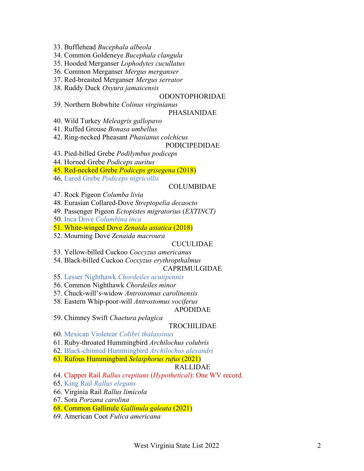- 33. Bufflehead *Bucephala albeola*
- 34. Common Goldeneye *Bucephala clangula*
- 35. Hooded Merganser *Lophodytes cucullatus*
- 36. Common Merganser *Mergus merganser*
- 37. Red-breasted Merganser *Mergus serrator*
- 38. Ruddy Duck *Oxyura jamaicensis*

## ODONTOPHORIDAE

39. Northern Bobwhite *Colinus virginianus*

### PHASIANIDAE

- 40. Wild Turkey *Meleagris gallopavo*
- 41. Ruffed Grouse *Bonasa umbellus*
- 42. Ring-necked Pheasant *Phasianus colchicus*

### PODICIPEDIDAE

- 43. Pied-billed Grebe *Podilymbus podiceps*
- 44. Horned Grebe *Podiceps auritus*
- 45. Red-necked Grebe *Podiceps grisegena* (2018)
- 46. Eared Grebe *Podiceps nigricollis*

# COLUMBIDAE

- 47. Rock Pigeon *Columba livia*
- 48. Eurasian Collared-Dove *Streptopelia decaocto*
- 49. Passenger Pigeon *Ectopistes migratorius* (*EXTINCT)*
- 50. Inca Dove *Columbina inca*
- 51. White-winged Dove *Zenaida asiatica* (2018)

# 52. Mourning Dove *Zenaida macroura*

# CUCULIDAE

- 53. Yellow-billed Cuckoo *Coccyzus americanus*
- 54. Black-billed Cuckoo *Coccyzus erythropthalmus*

# CAPRIMULGIDAE

55. Lesser Nighthawk *Chordeiles acutipennis*

- 56. Common Nighthawk *Chordeiles minor*
- 57. Chuck-will's-widow *Antrostomus carolinensis*
- 58. Eastern Whip-poor-will *Antrostomus vociferus*

# APODIDAE

59. Chimney Swift *Chaetura pelagica*

# TROCHILIDAE

- 60. Mexican Violetear *Colibri thalassinus*
- 61. Ruby-throated Hummingbird *Archilochus colubris*
- 62. Black-chinned Hummingbird *Archilochus alexandri*
- 63. Rufous Hummingbird *Selasphorus rufus* (2021)

# RALLIDAE

- 64. Clapper Rail *Rallus crepitans* (*Hypothetical*): One WV record.
- 65. King Rail *Rallus elegans*
- 66. Virginia Rail *Rallus limicola*
- 67. Sora *Porzana carolina*
- 68. Common Gallinule *Gallinula galeata* (2021)
- 69. American Coot *Fulica americana*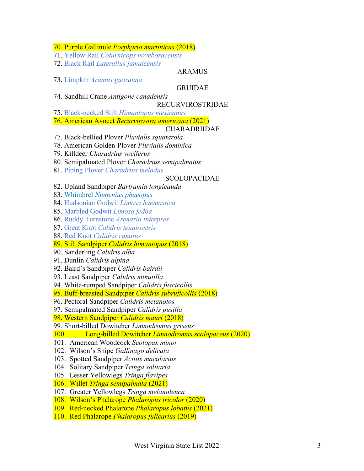70. Purple Gallinule *Porphyrio martinicus* (2018)

- 71. Yellow Rail *Coturnicops noveboracensis*
- 72. Black Rail *Laterallus jamaicensis*

73. Limpkin *Aramus guarauna*

GRUIDAE

ARAMUS

# 74. Sandhill Crane *Antigone canadensis*

RECURVIROSTRIDAE

- 75. Black-necked Stilt *Himantopus mexicanus*
- 76. American Avocet *Recurvirostra americana* (2021)

# CHARADRIIDAE

- 77. Black-bellied Plover *Pluvialis squatarola*
- 78. American Golden-Plover *Pluvialis dominica*
- 79. Killdeer *Charadrius vociferus*
- 80. Semipalmated Plover *Charadrius semipalmatus*
- 81. Piping Plover *Charadrius melodus*

### SCOLOPACIDAE

- 82. Upland Sandpiper *Bartramia longicauda*
- 83. Whimbrel *Numenius phaeopus*
- 84. Hudsonian Godwit *Limosa haemastica*
- 85. Marbled Godwit *Limosa fedoa*
- 86. Ruddy Turnstone *Arenaria interpres*
- 87. Great Knot *Calidris tenuirostris*
- 88. Red Knot *Calidris canutus*
- 89. Stilt Sandpiper *Calidris himantopus* (2018)
- 90. Sanderling *Calidris alba*
- 91. Dunlin *Calidris alpina*
- 92. Baird's Sandpiper *Calidris bairdii*
- 93. Least Sandpiper *Calidris minutilla*
- 94. White-rumped Sandpiper *Calidris fuscicollis*
- 95. Buff-breasted Sandpiper *Calidris subruficollis* (2018)
- 96. Pectoral Sandpiper *Calidris melanotos*
- 97. Semipalmated Sandpiper *Calidris pusilla*
- 98. Western Sandpiper *Calidris mauri* (2018)
- 99. Short-billed Dowitcher *Limnodromus griseus*
- 100. Long-billed Dowitcher *Limnodromus scolopaceus* (2020)
- 101. American Woodcock *Scolopax minor*
- 102. Wilson's Snipe *Gallinago delicata*
- 103. Spotted Sandpiper *Actitis macularius*
- 104. Solitary Sandpiper *Tringa solitaria*
- 105. Lesser Yellowlegs *Tringa flavipes*
- 106. Willet *Tringa semipalmata* (2021)
- 107. Greater Yellowlegs *Tringa melanoleuca*
- 108. Wilson's Phalarope *Phalaropus tricolor* (2020)
- 109. Red-necked Phalarope *Phalaropus lobatus* (2021)
- 110. Red Phalarope *Phalaropus fulicarius* (2019)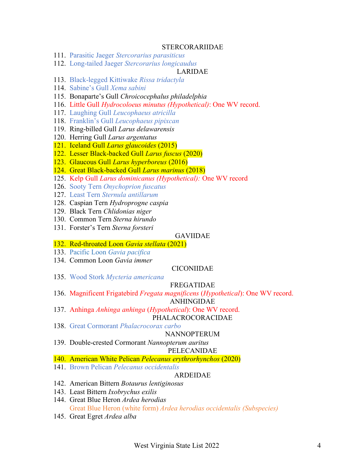#### STERCORARIIDAE

- 111. Parasitic Jaeger *Stercorarius parasiticus*
- 112. Long-tailed Jaeger *Stercorarius longicaudus*

# LARIDAE

- 113. Black-legged Kittiwake *Rissa tridactyla*
- 114. Sabine's Gull *Xema sabini*
- 115. Bonaparte's Gull *Chroicocephalus philadelphia*
- 116. Little Gull *Hydrocoloeus minutus (Hypothetical)*: One WV record.
- 117. Laughing Gull *Leucophaeus atricilla*
- 118. Franklin's Gull *Leucophaeus pipixcan*
- 119. Ring-billed Gull *Larus delawarensis*
- 120. Herring Gull *Larus argentatus*
- 121. Iceland Gull *Larus glaucoides* (2015)
- 122. Lesser Black-backed Gull *Larus fuscus* (2020)
- 123. Glaucous Gull *Larus hyperboreus* (2016)
- 124. Great Black-backed Gull *Larus marinus* (2018)
- 125. Kelp Gull *Larus dominicanus (Hypothetical):* One WV record
- 126. Sooty Tern *Onychoprion fuscatus*
- 127. Least Tern *Sternula antillarum*
- 128. Caspian Tern *Hydroprogne caspia*
- 129. Black Tern *Chlidonias niger*
- 130. Common Tern *Sterna hirundo*
- 131. Forster's Tern *Sterna forsteri*

# GAVIIDAE

- 132. Red-throated Loon *Gavia stellata* (2021)
- 133. Pacific Loon *Gavia pacifica*
- 134. Common Loon *Gavia immer*

### CICONIIDAE

135. Wood Stork *Mycteria americana*

#### FREGATIDAE

136. Magnificent Frigatebird *Fregata magnificens* (*Hypothetical*): One WV record.

ANHINGIDAE

- 137. Anhinga *Anhinga anhinga* (*Hypothetical*): One WV record. PHALACROCORACIDAE
- 138. Great Cormorant *Phalacrocorax carbo*

#### NANNOPTERUM

139. Double-crested Cormorant *Nannopterum auritus*

# PELECANIDAE

- 140. American White Pelican *Pelecanus erythrorhynchos* (2020)
- 141. Brown Pelican *Pelecanus occidentalis*

#### ARDEIDAE

- 142. American Bittern *Botaurus lentiginosus*
- 143. Least Bittern *Ixobrychus exilis*
- 144. Great Blue Heron *Ardea herodias* Great Blue Heron (white form) *Ardea herodias occidentalis (Subspecies)*
- 145. Great Egret *Ardea alba*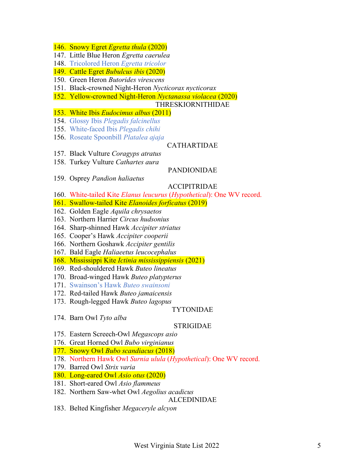- 146. Snowy Egret *Egretta thula* (2020)
- 147. Little Blue Heron *Egretta caerulea*
- 148. Tricolored Heron *Egretta tricolor*
- 149. Cattle Egret *Bubulcus ibis* (2020)
- 150. Green Heron *Butorides virescens*
- 151. Black-crowned Night-Heron *Nycticorax nycticorax*
- 152. Yellow-crowned Night-Heron *Nyctanassa violacea* (2020)

# THRESKIORNITHIDAE

- 153. White Ibis *Eudocimus albus* (2011)
- 154. Glossy Ibis *Plegadis falcinellus*
- 155. White-faced Ibis *Plegadis chihi*
- 156. Roseate Spoonbill *Platalea ajaja*

# CATHARTIDAE

- 157. Black Vulture *Coragyps atratus*
- 158. Turkey Vulture *Cathartes aura*

# PANDIONIDAE

159. Osprey *Pandion haliaetus*

# ACCIPITRIDAE

- 160. White-tailed Kite *Elanus leucurus* (*Hypothetical*): One WV record.
- 161. Swallow-tailed Kite *Elanoides forficatus* (2019)
- 162. Golden Eagle *Aquila chrysaetos*
- 163. Northern Harrier *Circus hudsonius*
- 164. Sharp-shinned Hawk *Accipiter striatus*
- 165. Cooper's Hawk *Accipiter cooperii*
- 166. Northern Goshawk *Accipiter gentilis*
- 167. Bald Eagle *Haliaeetus leucocephalus*
- 168. Mississippi Kite *Ictinia mississippiensis* (2021)
- 169. Red-shouldered Hawk *Buteo lineatus*
- 170. Broad-winged Hawk *Buteo platypterus*
- 171. Swainson's Hawk *Buteo swainsoni*
- 172. Red-tailed Hawk *Buteo jamaicensis*
- 173. Rough-legged Hawk *Buteo lagopus*

#### TYTONIDAE

174. Barn Owl *Tyto alba*

# STRIGIDAE

- 175. Eastern Screech-Owl *Megascops asio*
- 176. Great Horned Owl *Bubo virginianus*
- 177. Snowy Owl *Bubo scandiacus* (2018)
- 178. Northern Hawk Owl *Surnia ulula* (*Hypothetical*): One WV record.
- 179. Barred Owl *Strix varia*
- 180. Long-eared Owl *Asio otus* (2020)
- 181. Short-eared Owl *Asio flammeus*
- 182. Northern Saw-whet Owl *Aegolius acadicus*
	- ALCEDINIDAE
- 183. Belted Kingfisher *Megaceryle alcyon*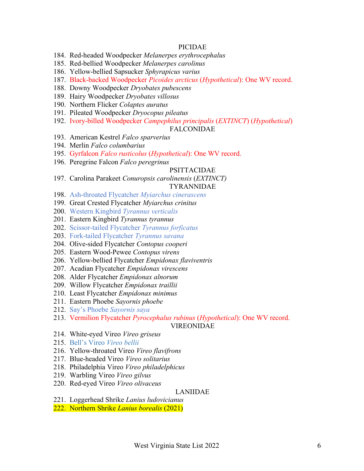#### PICIDAE

- 184. Red-headed Woodpecker *Melanerpes erythrocephalus*
- 185. Red-bellied Woodpecker *Melanerpes carolinus*
- 186. Yellow-bellied Sapsucker *Sphyrapicus varius*
- 187. Black-backed Woodpecker *Picoides arcticus* (*Hypothetical*): One WV record.
- 188. Downy Woodpecker *Dryobates pubescens*
- 189. Hairy Woodpecker *Dryobates villosus*
- 190. Northern Flicker *Colaptes auratus*
- 191. Pileated Woodpecker *Dryocopus pileatus*
- 192. Ivory-billed Woodpecker *Campephilus principalis* (*EXTINCT*) (*Hypothetical*)

#### FALCONIDAE

- 193. American Kestrel *Falco sparverius*
- 194. Merlin *Falco columbarius*
- 195. Gyrfalcon *Falco rusticolus* (*Hypothetical*): One WV record.
- 196. Peregrine Falcon *Falco peregrinus*

#### PSITTACIDAE

197. Carolina Parakeet *Conuropsis carolinensis* (*EXTINCT)* TYRANNIDAE

#### 198. Ash-throated Flycatcher *Myiarchus cinerascens*

- 199. Great Crested Flycatcher *Myiarchus crinitus*
- 200. Western Kingbird *Tyrannus verticalis*
- 201. Eastern Kingbird *Tyrannus tyrannus*
- 202. Scissor-tailed Flycatcher *Tyrannus forficatus*
- 203. Fork-tailed Flycatcher *Tyrannus savana*
- 204. Olive-sided Flycatcher *Contopus cooperi*
- 205. Eastern Wood-Pewee *Contopus virens*
- 206. Yellow-bellied Flycatcher *Empidonax flaviventris*
- 207. Acadian Flycatcher *Empidonax virescens*
- 208. Alder Flycatcher *Empidonax alnorum*
- 209. Willow Flycatcher *Empidonax traillii*
- 210. Least Flycatcher *Empidonax minimus*
- 211. Eastern Phoebe *Sayornis phoebe*
- 212. Say's Phoebe *Sayornis saya*
- 213. Vermilion Flycatcher *Pyrocephalus rubinus* (*Hypothetical*): One WV record.

#### VIREONIDAE

- 214. White-eyed Vireo *Vireo griseus*
- 215. Bell's Vireo *Vireo bellii*
- 216. Yellow-throated Vireo *Vireo flavifrons*
- 217. Blue-headed Vireo *Vireo solitarius*
- 218. Philadelphia Vireo *Vireo philadelphicus*
- 219. Warbling Vireo *Vireo gilvus*
- 220. Red-eyed Vireo *Vireo olivaceus*

#### LANIIDAE

- 221. Loggerhead Shrike *Lanius ludovicianus*
- 222. Northern Shrike *Lanius borealis* (2021)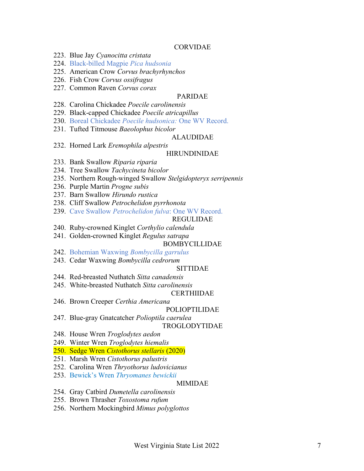#### CORVIDAE

- 223. Blue Jay *Cyanocitta cristata*
- 224. Black-billed Magpie *Pica hudsonia*
- 225. American Crow *Corvus brachyrhynchos*
- 226. Fish Crow *Corvus ossifragus*
- 227. Common Raven *Corvus corax*

## PARIDAE

- 228. Carolina Chickadee *Poecile carolinensis*
- 229. Black-capped Chickadee *Poecile atricapillus*
- 230. Boreal Chickadee *Poecile hudsonica:* One WV Record.
- 231. Tufted Titmouse *Baeolophus bicolor*

# ALAUDIDAE

232. Horned Lark *Eremophila alpestris*

#### HIRUNDINIDAE

- 233. Bank Swallow *Riparia riparia*
- 234. Tree Swallow *Tachycineta bicolor*
- 235. Northern Rough-winged Swallow *Stelgidopteryx serripennis*
- 236. Purple Martin *Progne subis*
- 237. Barn Swallow *Hirundo rustica*
- 238. Cliff Swallow *Petrochelidon pyrrhonota*
- 239. Cave Swallow *Petrochelidon fulva*: One WV Record.

## REGULIDAE

- 240. Ruby-crowned Kinglet *Corthylio calendula*
- 241. Golden-crowned Kinglet *Regulus satrapa*

#### BOMBYCILLIDAE

- 242. Bohemian Waxwing *Bombycilla garrulus*
- 243. Cedar Waxwing *Bombycilla cedrorum*

#### SITTIDAE

- 244. Red-breasted Nuthatch *Sitta canadensis*
- 245. White-breasted Nuthatch *Sitta carolinensis*

#### CERTHIIDAE

246. Brown Creeper *Certhia Americana*

#### POLIOPTILIDAE

- 247. Blue-gray Gnatcatcher *Polioptila caerulea* TROGLODYTIDAE
- 248. House Wren *Troglodytes aedon*
- 249. Winter Wren *Troglodytes hiemalis*
- 250. Sedge Wren *Cistothorus stellaris* (2020)
- 251. Marsh Wren *Cistothorus palustris*
- 252. Carolina Wren *Thryothorus ludovicianus*
- 253. Bewick's Wren *Thryomanes bewickii*

#### MIMIDAE

- 254. Gray Catbird *Dumetella carolinensis*
- 255. Brown Thrasher *Toxostoma rufum*
- 256. Northern Mockingbird *Mimus polyglottos*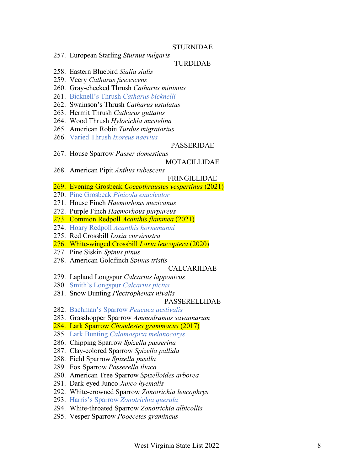#### STURNIDAE

257. European Starling *Sturnus vulgaris*

#### TURDIDAE

- 258. Eastern Bluebird *Sialia sialis*
- 259. Veery *Catharus fuscescens*
- 260. Gray -cheeked Thrush *Catharus minimus*
- 261. Bicknell's Thrush *Catharus bicknelli*
- 262. Swainson's Thrush *Catharus ustulatus*
- 263. Hermit Thrush *Catharus guttatus*
- 264. Wood Thrush *Hylocichla mustelina*
- 265. American Robin *Turdus migratorius*
- 266. Varied Thrush *Ixoreus naevius*

#### PASSERIDAE

267. House Sparrow *Passer domesticus*

#### MOTACILLIDAE

268. American Pipit *Anthus rubescens*

#### FRINGILLIDAE

- 269. Evening Grosbeak *Coccothraustes vespertinus* (2021 )
- 270. Pine Grosbeak *Pinicola enucleator*
- 271. House Finch *Haemorhous mexicanus*
- 272. Purple Finch *Haemorhous purpureus*
- 273. Common Redpoll *Acanthis flammea* (2021 )
- 274. Hoary Redpoll *Acanthis hornemanni*
- 275. Red Crossbill *Loxia curvirostra*
- 276. White -winged Crossbill *Loxia leucoptera* (2020 )
- 277. Pine Siskin *Spinus pinus*
- 278. American Goldfinch *Spinus tristis*

#### CALCARIIDAE

- 279. Lapland Longspur *Calcarius lapponicus*
- 280. Smith's Longspur *Calcarius pictus*
- 281. Snow Bunting *Plectrophenax nivalis*

#### PASSEREL LIDAE

- 282. Bachman's Sparrow *Peucaea aestivalis*
- 283. Grasshopper Sparrow *Ammodramus savannarum*
- 284. Lark Sparrow *Chondestes grammacus* (2017)
- 285. Lark Bunting *Calamospiza melanocorys*
- 286. Chipping Sparrow *Spizella passerina*
- 287. Clay -colored Sparrow *Spizella pallida*
- 288. Field Sparrow *Spizella pusilla*
- 289. Fox Sparrow *Passerella iliaca*
- 290. American Tree Sparrow *Spizelloides arborea*
- 291. Dark -eyed Junco *Junco hyemalis*
- 292. White -crowned Sparrow *Zonotrichia leucophrys*
- 293. Harris's Sparrow *Zonotrichia querula*
- 294. White -throated Sparrow *Zonotrichia albicollis*
- 295. Vesper Sparrow *Pooecetes gramineus*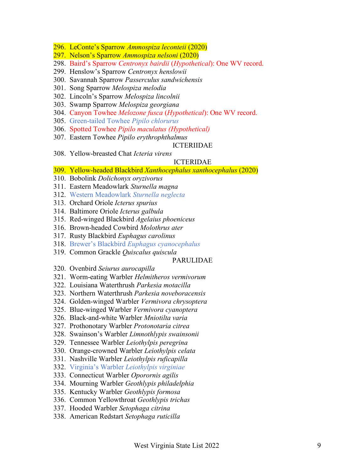- 296. LeConte's Sparrow *Ammospiza leconteii* (2020)
- 297. Nelson's Sparrow *Ammospiza nelsoni* (2020)
- 298. Baird's Sparrow *Centronyx bairdii* (*Hypothetical*): One WV record.
- 299. Henslow's Sparrow *Centronyx henslowii*
- 300. Savannah Sparrow *Passerculus sandwichensis*
- 301. Song Sparrow *Melospiza melodia*
- 302. Lincoln's Sparrow *Melospiza lincolnii*
- 303. Swamp Sparrow *Melospiza georgiana*
- 304. Canyon Towhee *Melozone fusca* (*Hypothetical*): One WV record.
- 305. Green-tailed Towhee *Pipilo chlorurus*
- 306. Spotted Towhee *Pipilo maculatus (Hypothetical)*
- 307. Eastern Towhee *Pipilo erythrophthalmus*

#### ICTERIIDAE

308. Yellow-breasted Chat *Icteria virens*

#### ICTERIDAE

- 309. Yellow-headed Blackbird *Xanthocephalus xanthocephalus* (2020)
- 310. Bobolink *Dolichonyx oryzivorus*
- 311. Eastern Meadowlark *Sturnella magna*
- 312. Western Meadowlark *Sturnella neglecta*
- 313. Orchard Oriole *Icterus spurius*
- 314. Baltimore Oriole *Icterus galbula*
- 315. Red-winged Blackbird *Agelaius phoeniceus*
- 316. Brown-headed Cowbird *Molothrus ater*
- 317. Rusty Blackbird *Euphagus carolinus*
- 318. Brewer's Blackbird *Euphagus cyanocephalus*
- 319. Common Grackle *Quiscalus quiscula*

#### PARULIDAE

- 320. Ovenbird *Seiurus aurocapilla*
- 321. Worm-eating Warbler *Helmitheros vermivorum*
- 322. Louisiana Waterthrush *Parkesia motacilla*
- 323. Northern Waterthrush *Parkesia noveboracensis*
- 324. Golden-winged Warbler *Vermivora chrysoptera*
- 325. Blue-winged Warbler *Vermivora cyanoptera*
- 326. Black-and-white Warbler *Mniotilta varia*
- 327. Prothonotary Warbler *Protonotaria citrea*
- 328. Swainson's Warbler *Limnothlypis swainsonii*
- 329. Tennessee Warbler *Leiothylpis peregrina*
- 330. Orange-crowned Warbler *Leiothylpis celata*
- 331. Nashville Warbler *Leiothylpis ruficapilla*
- 332. Virginia's Warbler *Leiothylpis virginiae*
- 333. Connecticut Warbler *Oporornis agilis*
- 334. Mourning Warbler *Geothlypis philadelphia*
- 335. Kentucky Warbler *Geothlypis formosa*
- 336. Common Yellowthroat *Geothlypis trichas*
- 337. Hooded Warbler *Setophaga citrina*
- 338. American Redstart *Setophaga ruticilla*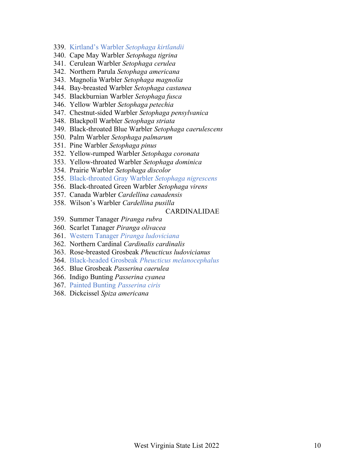- 339. Kirtland's Warbler *Setophaga kirtlandii*
- 340. Cape May Warbler *Setophaga tigrina*
- 341. Cerulean Warbler *Setophaga cerulea*
- 342. Northern Parula *Setophaga americana*
- 343. Magnolia Warbler *Setophaga magnolia*
- 344. Bay-breasted Warbler *Setophaga castanea*
- 345. Blackburnian Warbler *Setophaga fusca*
- 346. Yellow Warbler *Setophaga petechia*
- 347. Chestnut-sided Warbler *Setophaga pensylvanica*
- 348. Blackpoll Warbler *Setophaga striata*
- 349. Black-throated Blue Warbler *Setophaga caerulescens*
- 350. Palm Warbler *Setophaga palmarum*
- 351. Pine Warbler *Setophaga pinus*
- 352. Yellow-rumped Warbler *Setophaga coronata*
- 353. Yellow-throated Warbler *Setophaga dominica*
- 354. Prairie Warbler *Setophaga discolor*
- 355. Black-throated Gray Warbler *Setophaga nigrescens*
- 356. Black-throated Green Warbler *Setophaga virens*
- 357. Canada Warbler *Cardellina canadensis*
- 358. Wilson's Warbler *Cardellina pusilla*

### CARDINALIDAE

- 359. Summer Tanager *Piranga rubra*
- 360. Scarlet Tanager *Piranga olivacea*
- 361. Western Tanager *Piranga ludoviciana*
- 362. Northern Cardinal *Cardinalis cardinalis*
- 363. Rose-breasted Grosbeak *Pheucticus ludovicianus*
- 364. Black-headed Grosbeak *Pheucticus melanocephalus*
- 365. Blue Grosbeak *Passerina caerulea*
- 366. Indigo Bunting *Passerina cyanea*
- 367. Painted Bunting *Passerina ciris*
- 368. Dickcissel *Spiza americana*